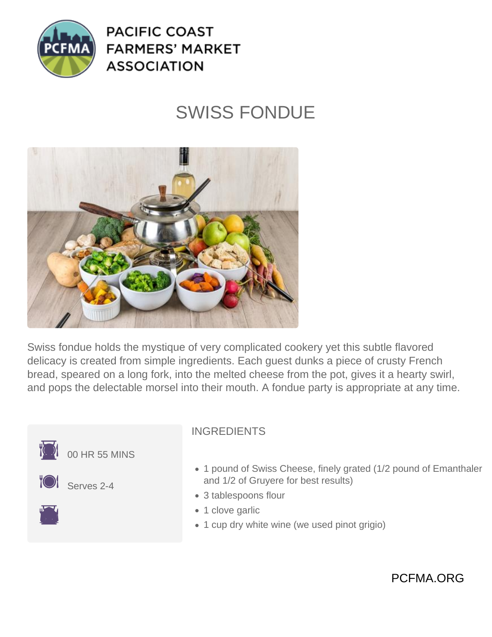

**PACIFIC COAST FARMERS' MARKET ASSOCIATION** 

## SWISS FONDUE



Swiss fondue holds the mystique of very complicated cookery yet this subtle flavored delicacy is created from simple ingredients. Each guest dunks a piece of crusty French bread, speared on a long fork, into the melted cheese from the pot, gives it a hearty swirl, and pops the delectable morsel into their mouth. A fondue party is appropriate at any time.



## INGREDIENTS

- 1 pound of Swiss Cheese, finely grated (1/2 pound of Emanthaler and 1/2 of Gruyere for best results)
- 3 tablespoons flour
- 1 clove garlic
- 1 cup dry white wine (we used pinot grigio)